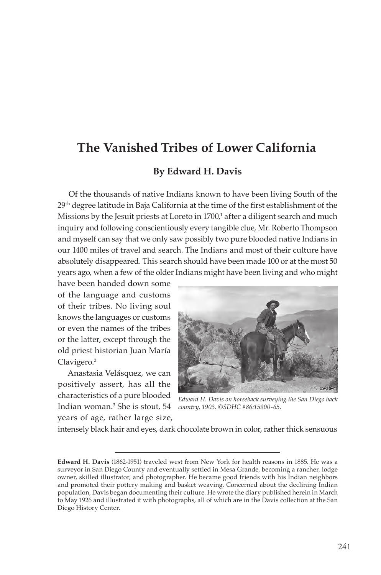# **The Vanished Tribes of Lower California**

#### **By Edward H. Davis**

Of the thousands of native Indians known to have been living South of the 29<sup>th</sup> degree latitude in Baja California at the time of the first establishment of the Missions by the Jesuit priests at Loreto in 1700,<sup>1</sup> after a diligent search and much inquiry and following conscientiously every tangible clue, Mr. Roberto Thompson and myself can say that we only saw possibly two pure blooded native Indians in our 1400 miles of travel and search. The Indians and most of their culture have absolutely disappeared. This search should have been made 100 or at the most 50 years ago, when a few of the older Indians might have been living and who might

have been handed down some of the language and customs of their tribes. No living soul knows the languages or customs or even the names of the tribes or the latter, except through the old priest historian Juan María Clavigero.<sup>2</sup>

Anastasia Velásquez, we can positively assert, has all the characteristics of a pure blooded Indian woman.3 She is stout, 54 years of age, rather large size,



*Edward H. Davis on horseback surveying the San Diego back country, 1903. ©SDHC #86:15900-65.*

intensely black hair and eyes, dark chocolate brown in color, rather thick sensuous

**Edward H. Davis** (1862-1951) traveled west from New York for health reasons in 1885. He was a surveyor in San Diego County and eventually settled in Mesa Grande, becoming a rancher, lodge owner, skilled illustrator, and photographer. He became good friends with his Indian neighbors and promoted their pottery making and basket weaving. Concerned about the declining Indian population, Davis began documenting their culture. He wrote the diary published herein in March to May 1926 and illustrated it with photographs, all of which are in the Davis collection at the San Diego History Center.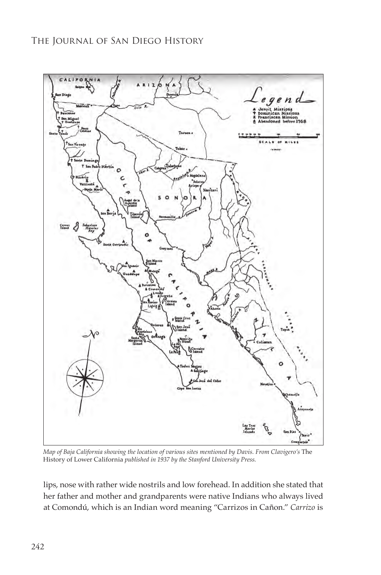

*Map of Baja California showing the location of various sites mentioned by Davis. From Clavigero's* The History of Lower California *published in 1937 by the Stanford University Press.*

lips, nose with rather wide nostrils and low forehead. In addition she stated that her father and mother and grandparents were native Indians who always lived at Comondú, which is an Indian word meaning "Carrizos in Cañon." *Carrizo* is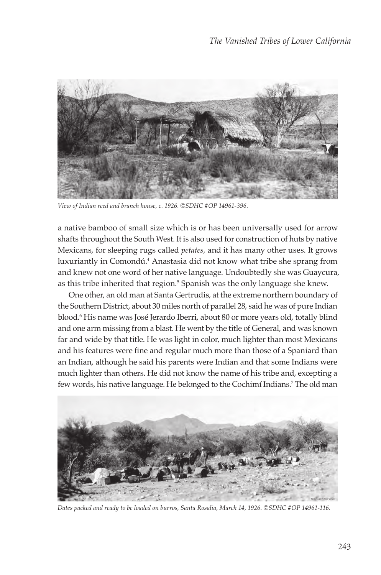

*View of Indian reed and branch house, c. 1926. ©SDHC #OP 14961-396.*

a native bamboo of small size which is or has been universally used for arrow shafts throughout the South West. It is also used for construction of huts by native Mexicans, for sleeping rugs called *petates,* and it has many other uses. It grows luxuriantly in Comondú.<sup>4</sup> Anastasia did not know what tribe she sprang from and knew not one word of her native language. Undoubtedly she was Guaycura, as this tribe inherited that region.<sup>5</sup> Spanish was the only language she knew.

One other, an old man at Santa Gertrudis, at the extreme northern boundary of the Southern District, about 30 miles north of parallel 28, said he was of pure Indian blood.6 His name was José Jerardo Iberri, about 80 or more years old, totally blind and one arm missing from a blast. He went by the title of General, and was known far and wide by that title. He was light in color, much lighter than most Mexicans and his features were fine and regular much more than those of a Spaniard than an Indian, although he said his parents were Indian and that some Indians were much lighter than others. He did not know the name of his tribe and, excepting a few words, his native language. He belonged to the Cochimí Indians.7 The old man



*Dates packed and ready to be loaded on burros, Santa Rosalia, March 14, 1926. ©SDHC #OP 14961-116.*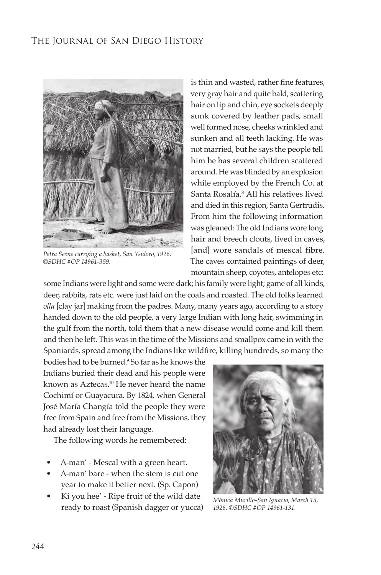

*Petra Seene carrying a basket, San Ysidoro, 1926. ©SDHC #OP 14961-359.*

is thin and wasted, rather fine features, very gray hair and quite bald, scattering hair on lip and chin, eye sockets deeply sunk covered by leather pads, small well formed nose, cheeks wrinkled and sunken and all teeth lacking. He was not married, but he says the people tell him he has several children scattered around. He was blinded by an explosion while employed by the French Co. at Santa Rosalía.<sup>8</sup> All his relatives lived and died in this region, Santa Gertrudis. From him the following information was gleaned: The old Indians wore long hair and breech clouts, lived in caves, [and] wore sandals of mescal fibre. The caves contained paintings of deer, mountain sheep, coyotes, antelopes etc:

some Indians were light and some were dark; his family were light; game of all kinds, deer, rabbits, rats etc. were just laid on the coals and roasted. The old folks learned *olla* [clay jar] making from the padres. Many, many years ago, according to a story handed down to the old people, a very large Indian with long hair, swimming in the gulf from the north, told them that a new disease would come and kill them and then he left. This was in the time of the Missions and smallpox came in with the Spaniards, spread among the Indians like wildfire, killing hundreds, so many the

bodies had to be burned.9 So far as he knows the Indians buried their dead and his people were known as Aztecas.10 He never heard the name Cochimí or Guayacura. By 1824, when General José María Changía told the people they were free from Spain and free from the Missions, they had already lost their language.

The following words he remembered:

- A-man' Mescal with a green heart.
- A-man' bare when the stem is cut one year to make it better next. (Sp. Capon)
- Ki you hee' Ripe fruit of the wild date ready to roast (Spanish dagger or yucca)



*Mónica Murillo-San Ignacio, March 15, 1926. ©SDHC #OP 14961-131.*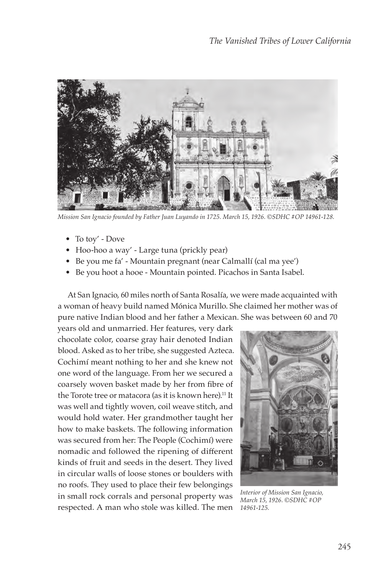

*Mission San Ignacio founded by Father Juan Luyando in 1725. March 15, 1926. ©SDHC #OP 14961-128.*

- To toy' Dove
- Hoo-hoo a way' Large tuna (prickly pear)
- Be you me fa' Mountain pregnant (near Calmallí (cal ma yee')
- Be you hoot a hooe Mountain pointed. Picachos in Santa Isabel.

At San Ignacio, 60 miles north of Santa Rosalía, we were made acquainted with a woman of heavy build named Mónica Murillo. She claimed her mother was of pure native Indian blood and her father a Mexican. She was between 60 and 70

years old and unmarried. Her features, very dark chocolate color, coarse gray hair denoted Indian blood. Asked as to her tribe, she suggested Azteca. Cochimí meant nothing to her and she knew not one word of the language. From her we secured a coarsely woven basket made by her from fibre of the Torote tree or matacora (as it is known here).<sup>11</sup> It was well and tightly woven, coil weave stitch, and would hold water. Her grandmother taught her how to make baskets. The following information was secured from her: The People (Cochimí) were nomadic and followed the ripening of different kinds of fruit and seeds in the desert. They lived in circular walls of loose stones or boulders with no roofs. They used to place their few belongings in small rock corrals and personal property was respected. A man who stole was killed. The men *14961-125.*



*Interior of Mission San Ignacio, March 15, 1926. ©SDHC #OP*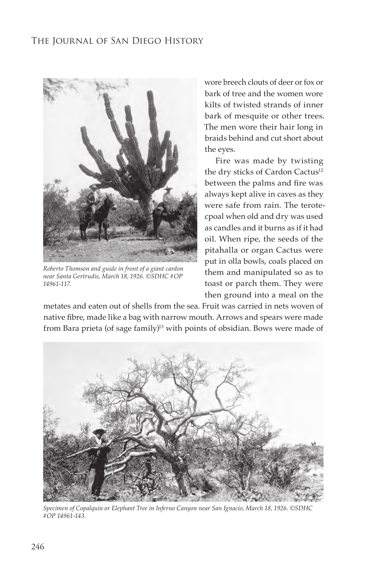

*Roberto Thomson and guide in front of a giant cardon near Santa Gertrudis, March 18, 1926. ©SDHC #OP 14961-117.*

wore breech clouts of deer or fox or bark of tree and the women wore kilts of twisted strands of inner bark of mesquite or other trees. The men wore their hair long in braids behind and cut short about the eyes.

Fire was made by twisting the dry sticks of Cardon Cactus<sup>12</sup> between the palms and fire was always kept alive in caves as they were safe from rain. The terotecpoal when old and dry was used as candles and it burns as if it had oil. When ripe, the seeds of the pitahalla or organ Cactus were put in olla bowls, coals placed on them and manipulated so as to toast or parch them. They were then ground into a meal on the

metates and eaten out of shells from the sea. Fruit was carried in nets woven of native fibre, made like a bag with narrow mouth. Arrows and spears were made from Bara prieta (of sage family)<sup>13</sup> with points of obsidian. Bows were made of



*Specimen of Copalquin or Elephant Tree in Inferno Canyon near San Ignacio, March 18, 1926. ©SDHC #OP 14961-143.*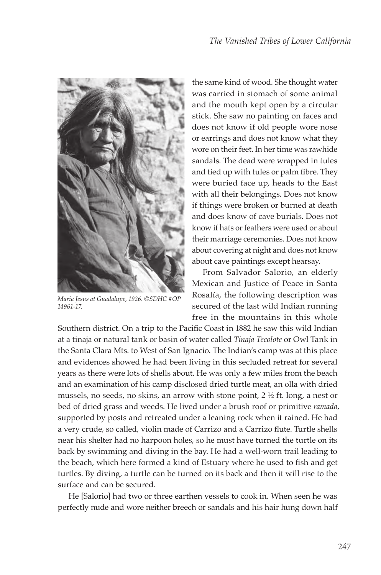

*Maria Jesus at Guadalupe, 1926. ©SDHC #OP 14961-17.*

the same kind of wood. She thought water was carried in stomach of some animal and the mouth kept open by a circular stick. She saw no painting on faces and does not know if old people wore nose or earrings and does not know what they wore on their feet. In her time was rawhide sandals. The dead were wrapped in tules and tied up with tules or palm fibre. They were buried face up, heads to the East with all their belongings. Does not know if things were broken or burned at death and does know of cave burials. Does not know if hats or feathers were used or about their marriage ceremonies. Does not know about covering at night and does not know about cave paintings except hearsay.

From Salvador Salorio, an elderly Mexican and Justice of Peace in Santa Rosalía, the following description was secured of the last wild Indian running free in the mountains in this whole

Southern district. On a trip to the Pacific Coast in 1882 he saw this wild Indian at a tinaja or natural tank or basin of water called *Tinaja Tecolote* or Owl Tank in the Santa Clara Mts. to West of San Ignacio. The Indian's camp was at this place and evidences showed he had been living in this secluded retreat for several years as there were lots of shells about. He was only a few miles from the beach and an examination of his camp disclosed dried turtle meat, an olla with dried mussels, no seeds, no skins, an arrow with stone point, 2 ½ ft. long, a nest or bed of dried grass and weeds. He lived under a brush roof or primitive *ramada*, supported by posts and retreated under a leaning rock when it rained. He had a very crude, so called, violin made of Carrizo and a Carrizo flute. Turtle shells near his shelter had no harpoon holes, so he must have turned the turtle on its back by swimming and diving in the bay. He had a well-worn trail leading to the beach, which here formed a kind of Estuary where he used to fish and get turtles. By diving, a turtle can be turned on its back and then it will rise to the surface and can be secured.

He [Salorio] had two or three earthen vessels to cook in. When seen he was perfectly nude and wore neither breech or sandals and his hair hung down half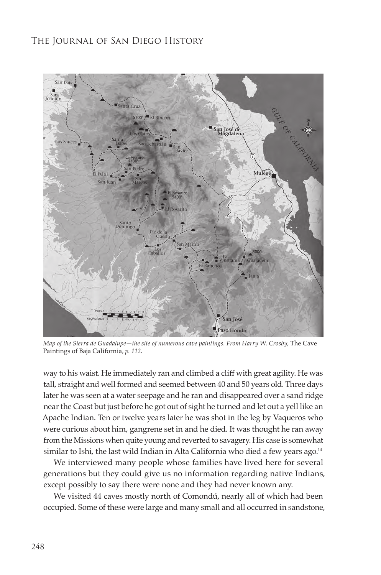

*Map of the Sierra de Guadalupe—the site of numerous cave paintings. From Harry W. Crosby,* The Cave Paintings of Baja California*, p. 112.*

way to his waist. He immediately ran and climbed a cliff with great agility. He was tall, straight and well formed and seemed between 40 and 50 years old. Three days later he was seen at a water seepage and he ran and disappeared over a sand ridge near the Coast but just before he got out of sight he turned and let out a yell like an Apache Indian. Ten or twelve years later he was shot in the leg by Vaqueros who were curious about him, gangrene set in and he died. It was thought he ran away from the Missions when quite young and reverted to savagery. His case is somewhat similar to Ishi, the last wild Indian in Alta California who died a few years ago.<sup>14</sup>

We interviewed many people whose families have lived here for several generations but they could give us no information regarding native Indians, except possibly to say there were none and they had never known any.

We visited 44 caves mostly north of Comondú, nearly all of which had been occupied. Some of these were large and many small and all occurred in sandstone,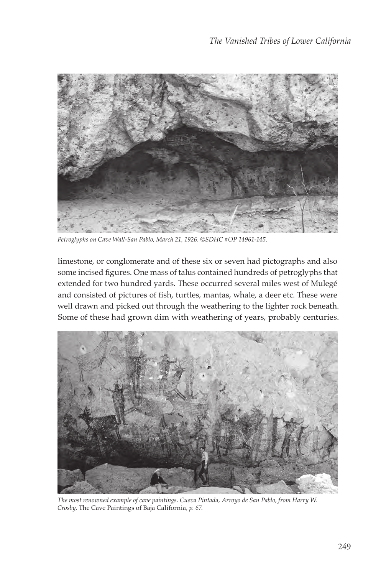

*Petroglyphs on Cave Wall-San Pablo, March 21, 1926. ©SDHC #OP 14961-145.*

limestone, or conglomerate and of these six or seven had pictographs and also some incised figures. One mass of talus contained hundreds of petroglyphs that extended for two hundred yards. These occurred several miles west of Mulegé and consisted of pictures of fish, turtles, mantas, whale, a deer etc. These were well drawn and picked out through the weathering to the lighter rock beneath. Some of these had grown dim with weathering of years, probably centuries.



*The most renowned example of cave paintings. Cueva Pintada, Arroyo de San Pablo, from Harry W. Crosby,* The Cave Paintings of Baja California*, p. 67.*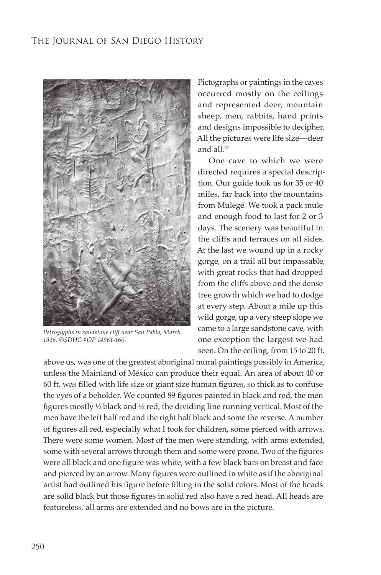

*Petroglyphs in sandstone cliff near San Pablo, March 1926. ©SDHC #OP 14961-160.*

Pictographs or paintings in the caves occurred mostly on the ceilings and represented deer, mountain sheep, men, rabbits, hand prints and designs impossible to decipher. All the pictures were life size—deer and all. $15$ 

One cave to which we were directed requires a special description. Our guide took us for 35 or 40 miles, far back into the mountains from Mulegé. We took a pack mule and enough food to last for 2 or 3 days. The scenery was beautiful in the cliffs and terraces on all sides. At the last we wound up in a rocky gorge, on a trail all but impassable, with great rocks that had dropped from the cliffs above and the dense tree growth which we had to dodge at every step. About a mile up this wild gorge, up a very steep slope we came to a large sandstone cave, with one exception the largest we had seen. On the ceiling, from 15 to 20 ft.

above us, was one of the greatest aboriginal mural paintings possibly in America, unless the Mainland of México can produce their equal. An area of about 40 or 60 ft. was filled with life size or giant size human figures, so thick as to confuse the eyes of a beholder. We counted 89 figures painted in black and red, the men figures mostly ½ black and ½ red, the dividing line running vertical. Most of the men have the left half red and the right half black and some the reverse. A number of figures all red, especially what I took for children, some pierced with arrows. There were some women. Most of the men were standing, with arms extended, some with several arrows through them and some were prone. Two of the figures were all black and one figure was white, with a few black bars on breast and face and pierced by an arrow. Many figures were outlined in white as if the aboriginal artist had outlined his figure before filling in the solid colors. Most of the heads are solid black but those figures in solid red also have a red head. All heads are featureless, all arms are extended and no bows are in the picture.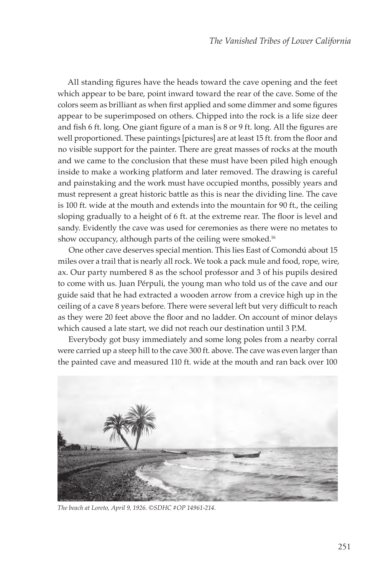All standing figures have the heads toward the cave opening and the feet which appear to be bare, point inward toward the rear of the cave. Some of the colors seem as brilliant as when first applied and some dimmer and some figures appear to be superimposed on others. Chipped into the rock is a life size deer and fish 6 ft. long. One giant figure of a man is 8 or 9 ft. long. All the figures are well proportioned. These paintings [pictures] are at least 15 ft. from the floor and no visible support for the painter. There are great masses of rocks at the mouth and we came to the conclusion that these must have been piled high enough inside to make a working platform and later removed. The drawing is careful and painstaking and the work must have occupied months, possibly years and must represent a great historic battle as this is near the dividing line. The cave is 100 ft. wide at the mouth and extends into the mountain for 90 ft., the ceiling sloping gradually to a height of 6 ft. at the extreme rear. The floor is level and sandy. Evidently the cave was used for ceremonies as there were no metates to show occupancy, although parts of the ceiling were smoked.<sup>16</sup>

One other cave deserves special mention. This lies East of Comondú about 15 miles over a trail that is nearly all rock. We took a pack mule and food, rope, wire, ax. Our party numbered 8 as the school professor and 3 of his pupils desired to come with us. Juan Pérpuli, the young man who told us of the cave and our guide said that he had extracted a wooden arrow from a crevice high up in the ceiling of a cave 8 years before. There were several left but very difficult to reach as they were 20 feet above the floor and no ladder. On account of minor delays which caused a late start, we did not reach our destination until 3 P.M.

Everybody got busy immediately and some long poles from a nearby corral were carried up a steep hill to the cave 300 ft. above. The cave was even larger than the painted cave and measured 110 ft. wide at the mouth and ran back over 100



*The beach at Loreto, April 9, 1926. ©SDHC #OP 14961-214.*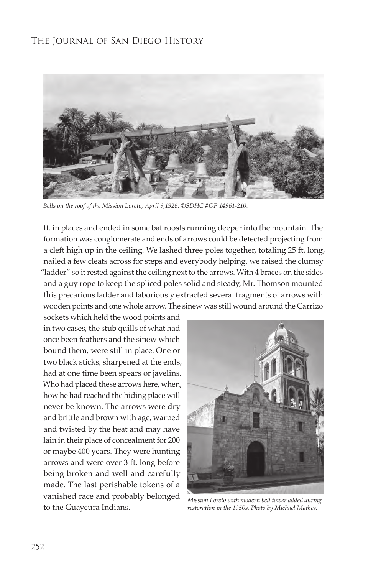

*Bells on the roof of the Mission Loreto, April 9,1926. ©SDHC #OP 14961-210.*

ft. in places and ended in some bat roosts running deeper into the mountain. The formation was conglomerate and ends of arrows could be detected projecting from a cleft high up in the ceiling. We lashed three poles together, totaling 25 ft. long, nailed a few cleats across for steps and everybody helping, we raised the clumsy "ladder" so it rested against the ceiling next to the arrows. With 4 braces on the sides and a guy rope to keep the spliced poles solid and steady, Mr. Thomson mounted this precarious ladder and laboriously extracted several fragments of arrows with wooden points and one whole arrow. The sinew was still wound around the Carrizo

sockets which held the wood points and in two cases, the stub quills of what had once been feathers and the sinew which bound them, were still in place. One or two black sticks, sharpened at the ends, had at one time been spears or javelins. Who had placed these arrows here, when, how he had reached the hiding place will never be known. The arrows were dry and brittle and brown with age, warped and twisted by the heat and may have lain in their place of concealment for 200 or maybe 400 years. They were hunting arrows and were over 3 ft. long before being broken and well and carefully made. The last perishable tokens of a vanished race and probably belonged to the Guaycura Indians.



*Mission Loreto with modern bell tower added during restoration in the 1950s. Photo by Michael Mathes.*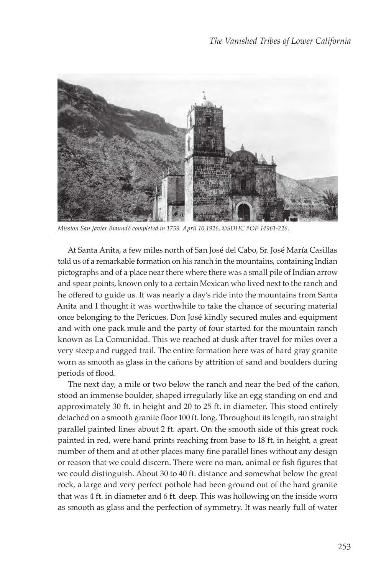

*Mission San Javier Biaundó completed in 1759. April 10,1926. ©SDHC #OP 14961-226.*

At Santa Anita, a few miles north of San José del Cabo, Sr. José María Casillas told us of a remarkable formation on his ranch in the mountains, containing Indian pictographs and of a place near there where there was a small pile of Indian arrow and spear points, known only to a certain Mexican who lived next to the ranch and he offered to guide us. It was nearly a day's ride into the mountains from Santa Anita and I thought it was worthwhile to take the chance of securing material once belonging to the Pericues. Don José kindly secured mules and equipment and with one pack mule and the party of four started for the mountain ranch known as La Comunidad. This we reached at dusk after travel for miles over a very steep and rugged trail. The entire formation here was of hard gray granite worn as smooth as glass in the cañons by attrition of sand and boulders during periods of flood.

The next day, a mile or two below the ranch and near the bed of the cañon, stood an immense boulder, shaped irregularly like an egg standing on end and approximately 30 ft. in height and 20 to 25 ft. in diameter. This stood entirely detached on a smooth granite floor 100 ft. long. Throughout its length, ran straight parallel painted lines about 2 ft. apart. On the smooth side of this great rock painted in red, were hand prints reaching from base to 18 ft. in height, a great number of them and at other places many fine parallel lines without any design or reason that we could discern. There were no man, animal or fish figures that we could distinguish. About 30 to 40 ft. distance and somewhat below the great rock, a large and very perfect pothole had been ground out of the hard granite that was 4 ft. in diameter and 6 ft. deep. This was hollowing on the inside worn as smooth as glass and the perfection of symmetry. It was nearly full of water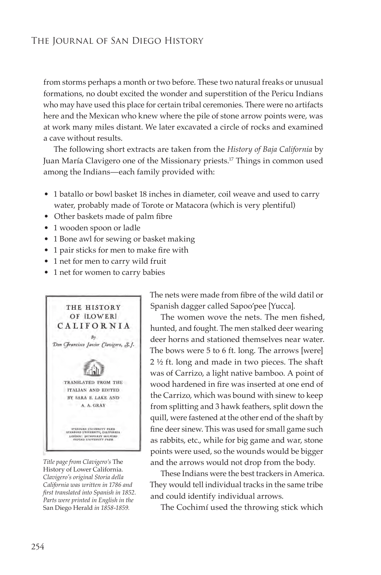from storms perhaps a month or two before. These two natural freaks or unusual formations, no doubt excited the wonder and superstition of the Pericu Indians who may have used this place for certain tribal ceremonies. There were no artifacts here and the Mexican who knew where the pile of stone arrow points were, was at work many miles distant. We later excavated a circle of rocks and examined a cave without results.

The following short extracts are taken from the *History of Baja California* by Juan María Clavigero one of the Missionary priests.<sup>17</sup> Things in common used among the Indians—each family provided with:

- 1 batallo or bowl basket 18 inches in diameter, coil weave and used to carry water, probably made of Torote or Matacora (which is very plentiful)
- Other baskets made of palm fibre
- 1 wooden spoon or ladle
- 1 Bone awl for sewing or basket making
- 1 pair sticks for men to make fire with
- 1 net for men to carry wild fruit
- 1 net for women to carry babies



*Title page from Clavigero's* The History of Lower California*. Clavigero's original Storia della California was written in 1786 and first translated into Spanish in 1852. Parts were printed in English in the*  San Diego Herald *in 1858-1859.*

The nets were made from fibre of the wild datil or Spanish dagger called Sapoo'pee [Yucca].

The women wove the nets. The men fished, hunted, and fought. The men stalked deer wearing deer horns and stationed themselves near water. The bows were 5 to 6 ft. long. The arrows [were] 2 ½ ft. long and made in two pieces. The shaft was of Carrizo, a light native bamboo. A point of wood hardened in fire was inserted at one end of the Carrizo, which was bound with sinew to keep from splitting and 3 hawk feathers, split down the quill, were fastened at the other end of the shaft by fine deer sinew. This was used for small game such as rabbits, etc., while for big game and war, stone points were used, so the wounds would be bigger and the arrows would not drop from the body.

These Indians were the best trackers in America. They would tell individual tracks in the same tribe and could identify individual arrows.

The Cochimí used the throwing stick which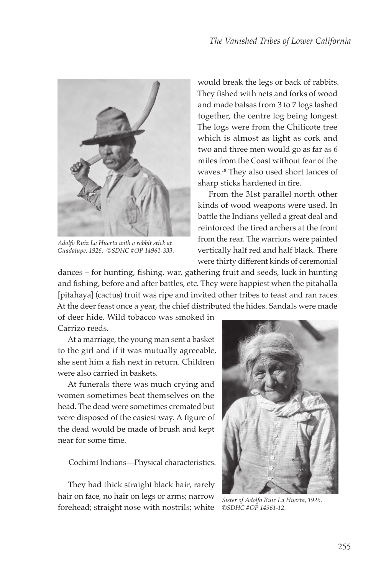

*Adolfo Ruiz La Huerta with a rabbit stick at Guadalupe, 1926. ©SDHC #OP 14961-333.*

would break the legs or back of rabbits. They fished with nets and forks of wood and made balsas from 3 to 7 logs lashed together, the centre log being longest. The logs were from the Chilicote tree which is almost as light as cork and two and three men would go as far as 6 miles from the Coast without fear of the waves.18 They also used short lances of sharp sticks hardened in fire.

From the 31st parallel north other kinds of wood weapons were used. In battle the Indians yelled a great deal and reinforced the tired archers at the front from the rear. The warriors were painted vertically half red and half black. There were thirty different kinds of ceremonial

dances – for hunting, fishing, war, gathering fruit and seeds, luck in hunting and fishing, before and after battles, etc. They were happiest when the pitahalla [pitahaya] (cactus) fruit was ripe and invited other tribes to feast and ran races. At the deer feast once a year, the chief distributed the hides. Sandals were made

of deer hide. Wild tobacco was smoked in Carrizo reeds.

At a marriage, the young man sent a basket to the girl and if it was mutually agreeable, she sent him a fish next in return. Children were also carried in baskets.

At funerals there was much crying and women sometimes beat themselves on the head. The dead were sometimes cremated but were disposed of the easiest way. A figure of the dead would be made of brush and kept near for some time.

Cochimí Indians—Physical characteristics.

They had thick straight black hair, rarely hair on face, no hair on legs or arms; narrow forehead; straight nose with nostrils; white



*Sister of Adolfo Ruiz La Huerta, 1926. ©SDHC #OP 14961-12.*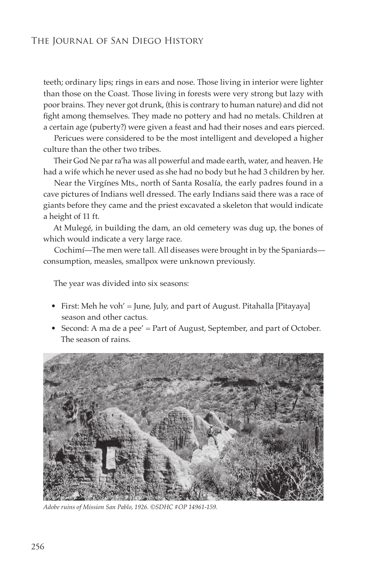teeth; ordinary lips; rings in ears and nose. Those living in interior were lighter than those on the Coast. Those living in forests were very strong but lazy with poor brains. They never got drunk, (this is contrary to human nature) and did not fight among themselves. They made no pottery and had no metals. Children at a certain age (puberty?) were given a feast and had their noses and ears pierced.

Pericues were considered to be the most intelligent and developed a higher culture than the other two tribes.

Their God Ne par ra'ha was all powerful and made earth, water, and heaven. He had a wife which he never used as she had no body but he had 3 children by her.

Near the Virgínes Mts., north of Santa Rosalía, the early padres found in a cave pictures of Indians well dressed. The early Indians said there was a race of giants before they came and the priest excavated a skeleton that would indicate a height of 11 ft.

At Mulegé, in building the dam, an old cemetery was dug up, the bones of which would indicate a very large race.

Cochimí—The men were tall. All diseases were brought in by the Spaniards consumption, measles, smallpox were unknown previously.

The year was divided into six seasons:

- First: Meh he voh' = June, July, and part of August. Pitahalla [Pitayaya] season and other cactus.
- Second: A ma de a pee' = Part of August, September, and part of October. The season of rains.



*Adobe ruins of Mission San Pablo, 1926. ©SDHC #OP 14961-159.*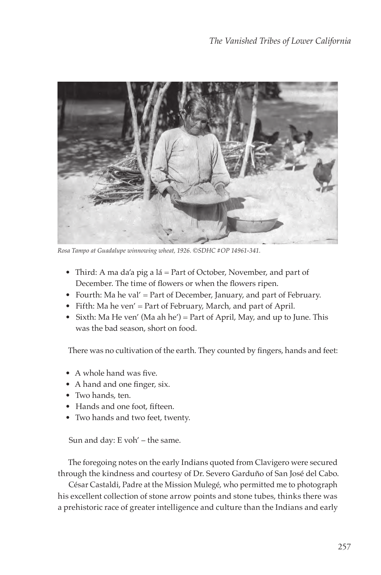

*Rosa Tampo at Guadalupe winnowing wheat, 1926. ©SDHC #OP 14961-341.*

- Third: A ma da'a pig a lá = Part of October, November, and part of December. The time of flowers or when the flowers ripen.
- Fourth: Ma he val' = Part of December, January, and part of February.
- Fifth: Ma he ven' = Part of February, March, and part of April.
- Sixth: Ma He ven' (Ma ah he') = Part of April, May, and up to June. This was the bad season, short on food.

There was no cultivation of the earth. They counted by fingers, hands and feet:

- A whole hand was five.
- A hand and one finger, six.
- Two hands, ten.
- Hands and one foot, fifteen.
- Two hands and two feet, twenty.

Sun and day: E voh' – the same.

The foregoing notes on the early Indians quoted from Clavigero were secured through the kindness and courtesy of Dr. Severo Garduño of San José del Cabo.

César Castaldi, Padre at the Mission Mulegé, who permitted me to photograph his excellent collection of stone arrow points and stone tubes, thinks there was a prehistoric race of greater intelligence and culture than the Indians and early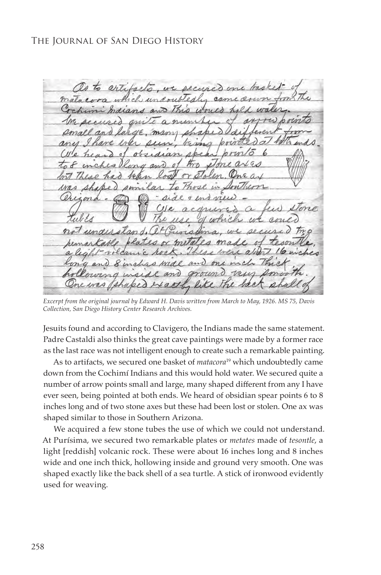mot  $\theta$ 

*Excerpt from the original journal by Edward H. Davis written from March to May, 1926. MS 75, Davis Collection, San Diego History Center Research Archives.*

Jesuits found and according to Clavigero, the Indians made the same statement. Padre Castaldi also thinks the great cave paintings were made by a former race as the last race was not intelligent enough to create such a remarkable painting.

As to artifacts, we secured one basket of *matacora*19 which undoubtedly came down from the Cochimí Indians and this would hold water. We secured quite a number of arrow points small and large, many shaped different from any I have ever seen, being pointed at both ends. We heard of obsidian spear points 6 to 8 inches long and of two stone axes but these had been lost or stolen. One ax was shaped similar to those in Southern Arizona.

We acquired a few stone tubes the use of which we could not understand. At Purísima, we secured two remarkable plates or *metates* made of *tesontle*, a light [reddish] volcanic rock. These were about 16 inches long and 8 inches wide and one inch thick, hollowing inside and ground very smooth. One was shaped exactly like the back shell of a sea turtle. A stick of ironwood evidently used for weaving.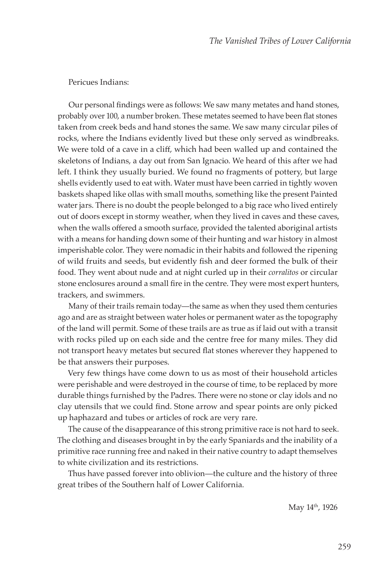#### Pericues Indians:

Our personal findings were as follows: We saw many metates and hand stones, probably over 100, a number broken. These metates seemed to have been flat stones taken from creek beds and hand stones the same. We saw many circular piles of rocks, where the Indians evidently lived but these only served as windbreaks. We were told of a cave in a cliff, which had been walled up and contained the skeletons of Indians, a day out from San Ignacio. We heard of this after we had left. I think they usually buried. We found no fragments of pottery, but large shells evidently used to eat with. Water must have been carried in tightly woven baskets shaped like ollas with small mouths, something like the present Painted water jars. There is no doubt the people belonged to a big race who lived entirely out of doors except in stormy weather, when they lived in caves and these caves, when the walls offered a smooth surface, provided the talented aboriginal artists with a means for handing down some of their hunting and war history in almost imperishable color. They were nomadic in their habits and followed the ripening of wild fruits and seeds, but evidently fish and deer formed the bulk of their food. They went about nude and at night curled up in their *corralitos* or circular stone enclosures around a small fire in the centre. They were most expert hunters, trackers, and swimmers.

Many of their trails remain today—the same as when they used them centuries ago and are as straight between water holes or permanent water as the topography of the land will permit. Some of these trails are as true as if laid out with a transit with rocks piled up on each side and the centre free for many miles. They did not transport heavy metates but secured flat stones wherever they happened to be that answers their purposes.

Very few things have come down to us as most of their household articles were perishable and were destroyed in the course of time, to be replaced by more durable things furnished by the Padres. There were no stone or clay idols and no clay utensils that we could find. Stone arrow and spear points are only picked up haphazard and tubes or articles of rock are very rare.

The cause of the disappearance of this strong primitive race is not hard to seek. The clothing and diseases brought in by the early Spaniards and the inability of a primitive race running free and naked in their native country to adapt themselves to white civilization and its restrictions.

Thus have passed forever into oblivion—the culture and the history of three great tribes of the Southern half of Lower California.

May 14<sup>th</sup>, 1926